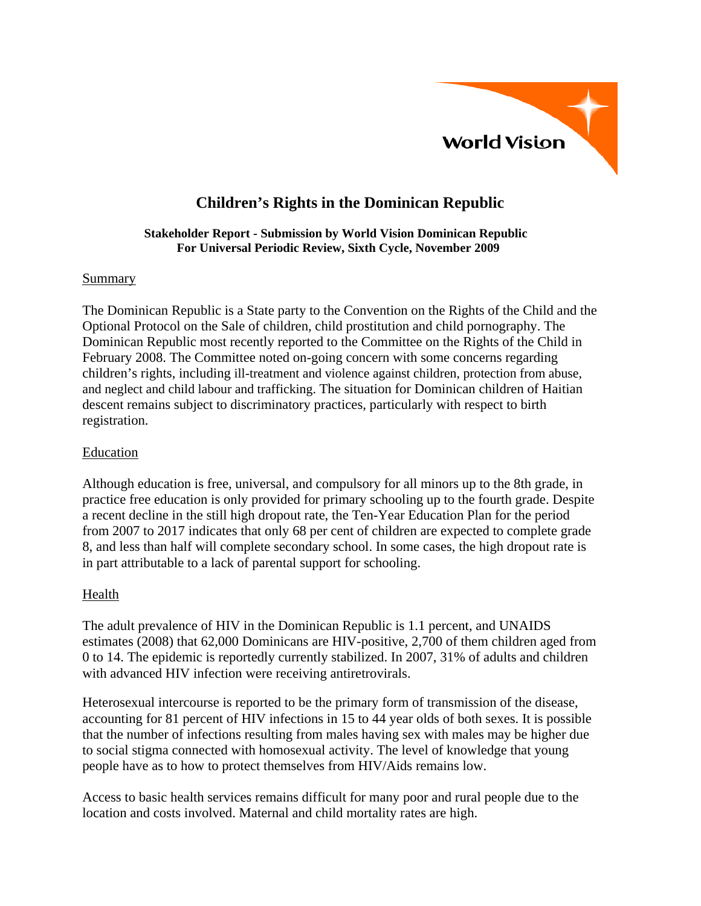

# **Children's Rights in the Dominican Republic**

#### **Stakeholder Report - Submission by World Vision Dominican Republic For Universal Periodic Review, Sixth Cycle, November 2009**

### Summary

The Dominican Republic is a State party to the Convention on the Rights of the Child and the Optional Protocol on the Sale of children, child prostitution and child pornography. The Dominican Republic most recently reported to the Committee on the Rights of the Child in February 2008. The Committee noted on-going concern with some concerns regarding children's rights, including ill-treatment and violence against children, protection from abuse, and neglect and child labour and trafficking. The situation for Dominican children of Haitian descent remains subject to discriminatory practices, particularly with respect to birth registration.

#### Education

Although education is free, universal, and compulsory for all minors up to the 8th grade, in practice free education is only provided for primary schooling up to the fourth grade. Despite a recent decline in the still high dropout rate, the Ten-Year Education Plan for the period from 2007 to 2017 indicates that only 68 per cent of children are expected to complete grade 8, and less than half will complete secondary school. In some cases, the high dropout rate is in part attributable to a lack of parental support for schooling.

### Health

The adult prevalence of HIV in the Dominican Republic is 1.1 percent, and UNAIDS estimates (2008) that 62,000 Dominicans are HIV-positive, 2,700 of them children aged from 0 to 14. The epidemic is reportedly currently stabilized. In 2007, 31% of adults and children with advanced HIV infection were receiving antiretrovirals.

Heterosexual intercourse is reported to be the primary form of transmission of the disease, accounting for 81 percent of HIV infections in 15 to 44 year olds of both sexes. It is possible that the number of infections resulting from males having sex with males may be higher due to social stigma connected with homosexual activity. The level of knowledge that young people have as to how to protect themselves from HIV/Aids remains low.

Access to basic health services remains difficult for many poor and rural people due to the location and costs involved. Maternal and child mortality rates are high.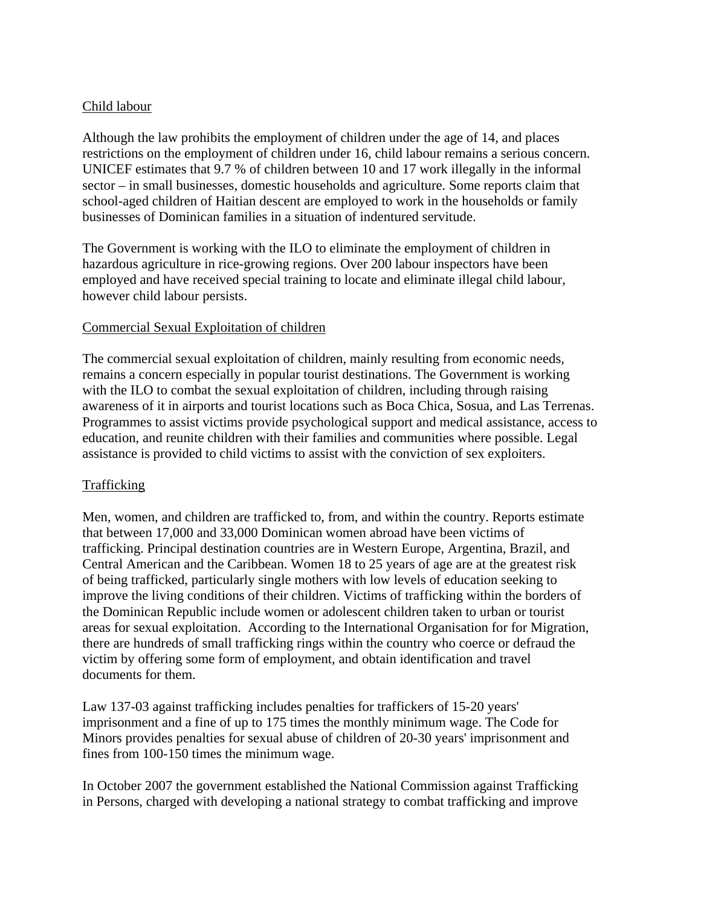## Child labour

Although the law prohibits the employment of children under the age of 14, and places restrictions on the employment of children under 16, child labour remains a serious concern. UNICEF estimates that 9.7 % of children between 10 and 17 work illegally in the informal sector – in small businesses, domestic households and agriculture. Some reports claim that school-aged children of Haitian descent are employed to work in the households or family businesses of Dominican families in a situation of indentured servitude.

The Government is working with the ILO to eliminate the employment of children in hazardous agriculture in rice-growing regions. Over 200 labour inspectors have been employed and have received special training to locate and eliminate illegal child labour, however child labour persists.

### Commercial Sexual Exploitation of children

The commercial sexual exploitation of children, mainly resulting from economic needs, remains a concern especially in popular tourist destinations. The Government is working with the ILO to combat the sexual exploitation of children, including through raising awareness of it in airports and tourist locations such as Boca Chica, Sosua, and Las Terrenas. Programmes to assist victims provide psychological support and medical assistance, access to education, and reunite children with their families and communities where possible. Legal assistance is provided to child victims to assist with the conviction of sex exploiters.

# Trafficking

Men, women, and children are trafficked to, from, and within the country. Reports estimate that between 17,000 and 33,000 Dominican women abroad have been victims of trafficking. Principal destination countries are in Western Europe, Argentina, Brazil, and Central American and the Caribbean. Women 18 to 25 years of age are at the greatest risk of being trafficked, particularly single mothers with low levels of education seeking to improve the living conditions of their children. Victims of trafficking within the borders of the Dominican Republic include women or adolescent children taken to urban or tourist areas for sexual exploitation. According to the International Organisation for for Migration, there are hundreds of small trafficking rings within the country who coerce or defraud the victim by offering some form of employment, and obtain identification and travel documents for them.

Law 137-03 against trafficking includes penalties for traffickers of 15-20 years' imprisonment and a fine of up to 175 times the monthly minimum wage. The Code for Minors provides penalties for sexual abuse of children of 20-30 years' imprisonment and fines from 100-150 times the minimum wage.

In October 2007 the government established the National Commission against Trafficking in Persons, charged with developing a national strategy to combat trafficking and improve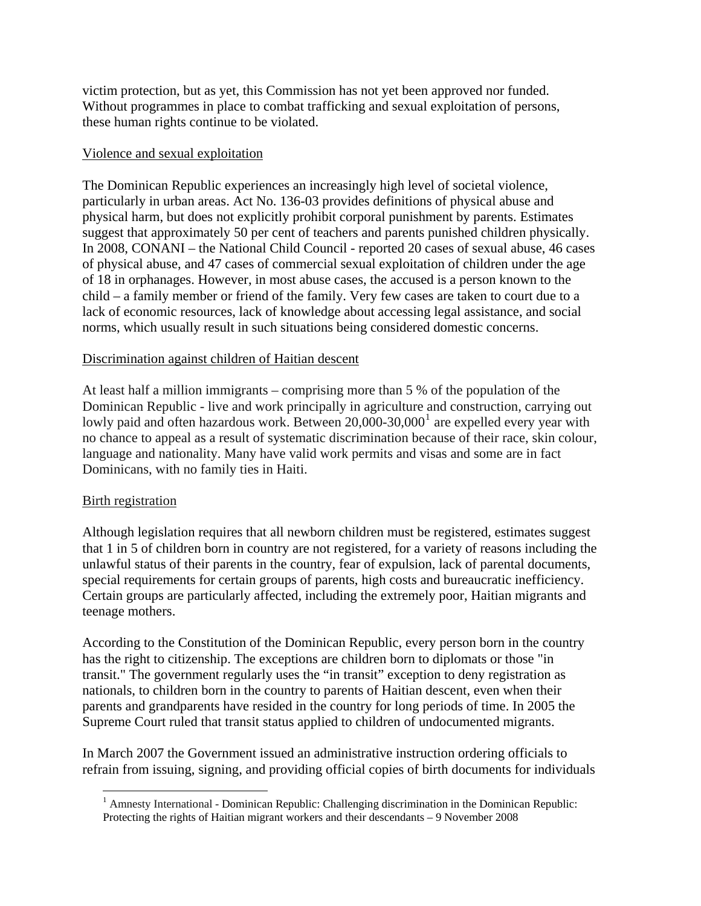victim protection, but as yet, this Commission has not yet been approved nor funded. Without programmes in place to combat trafficking and sexual exploitation of persons, these human rights continue to be violated.

### Violence and sexual exploitation

The Dominican Republic experiences an increasingly high level of societal violence, particularly in urban areas. Act No. 136-03 provides definitions of physical abuse and physical harm, but does not explicitly prohibit corporal punishment by parents. Estimates suggest that approximately 50 per cent of teachers and parents punished children physically. In 2008, CONANI – the National Child Council - reported 20 cases of sexual abuse, 46 cases of physical abuse, and 47 cases of commercial sexual exploitation of children under the age of 18 in orphanages. However, in most abuse cases, the accused is a person known to the child – a family member or friend of the family. Very few cases are taken to court due to a lack of economic resources, lack of knowledge about accessing legal assistance, and social norms, which usually result in such situations being considered domestic concerns.

## Discrimination against children of Haitian descent

At least half a million immigrants – comprising more than 5 % of the population of the Dominican Republic - live and work principally in agriculture and construction, carrying out lowly paid and often hazardous work. Between  $20,000$ -30,000<sup>[1](#page-2-0)</sup> are expelled every year with no chance to appeal as a result of systematic discrimination because of their race, skin colour, language and nationality. Many have valid work permits and visas and some are in fact Dominicans, with no family ties in Haiti.

# **Birth registration**

 $\overline{a}$ 

Although legislation requires that all newborn children must be registered, estimates suggest that 1 in 5 of children born in country are not registered, for a variety of reasons including the unlawful status of their parents in the country, fear of expulsion, lack of parental documents, special requirements for certain groups of parents, high costs and bureaucratic inefficiency. Certain groups are particularly affected, including the extremely poor, Haitian migrants and teenage mothers.

According to the Constitution of the Dominican Republic, every person born in the country has the right to citizenship. The exceptions are children born to diplomats or those "in transit." The government regularly uses the "in transit" exception to deny registration as nationals, to children born in the country to parents of Haitian descent, even when their parents and grandparents have resided in the country for long periods of time. In 2005 the Supreme Court ruled that transit status applied to children of undocumented migrants.

<span id="page-2-0"></span>In March 2007 the Government issued an administrative instruction ordering officials to refrain from issuing, signing, and providing official copies of birth documents for individuals

 $<sup>1</sup>$  Amnesty International - Dominican Republic: Challenging discrimination in the Dominican Republic:</sup> Protecting the rights of Haitian migrant workers and their descendants – 9 November 2008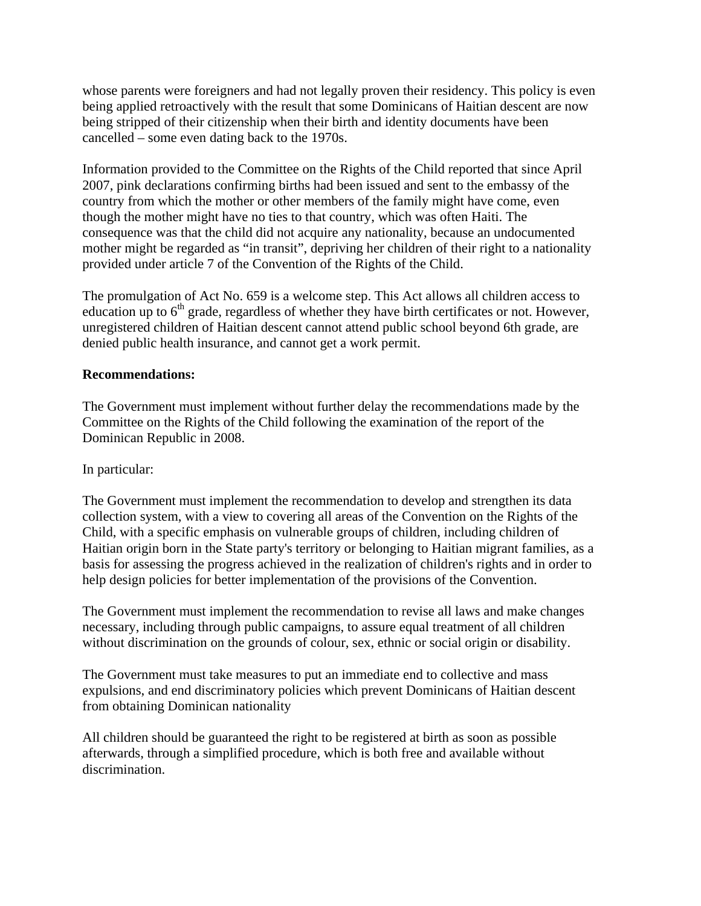whose parents were foreigners and had not legally proven their residency. This policy is even being applied retroactively with the result that some Dominicans of Haitian descent are now being stripped of their citizenship when their birth and identity documents have been cancelled – some even dating back to the 1970s.

Information provided to the Committee on the Rights of the Child reported that since April 2007, pink declarations confirming births had been issued and sent to the embassy of the country from which the mother or other members of the family might have come, even though the mother might have no ties to that country, which was often Haiti. The consequence was that the child did not acquire any nationality, because an undocumented mother might be regarded as "in transit", depriving her children of their right to a nationality provided under article 7 of the Convention of the Rights of the Child.

The promulgation of Act No. 659 is a welcome step. This Act allows all children access to education up to  $6<sup>th</sup>$  grade, regardless of whether they have birth certificates or not. However, unregistered children of Haitian descent cannot attend public school beyond 6th grade, are denied public health insurance, and cannot get a work permit.

## **Recommendations:**

The Government must implement without further delay the recommendations made by the Committee on the Rights of the Child following the examination of the report of the Dominican Republic in 2008.

### In particular:

The Government must implement the recommendation to develop and strengthen its data collection system, with a view to covering all areas of the Convention on the Rights of the Child, with a specific emphasis on vulnerable groups of children, including children of Haitian origin born in the State party's territory or belonging to Haitian migrant families, as a basis for assessing the progress achieved in the realization of children's rights and in order to help design policies for better implementation of the provisions of the Convention.

The Government must implement the recommendation to revise all laws and make changes necessary, including through public campaigns, to assure equal treatment of all children without discrimination on the grounds of colour, sex, ethnic or social origin or disability.

The Government must take measures to put an immediate end to collective and mass expulsions, and end discriminatory policies which prevent Dominicans of Haitian descent from obtaining Dominican nationality

All children should be guaranteed the right to be registered at birth as soon as possible afterwards, through a simplified procedure, which is both free and available without discrimination.